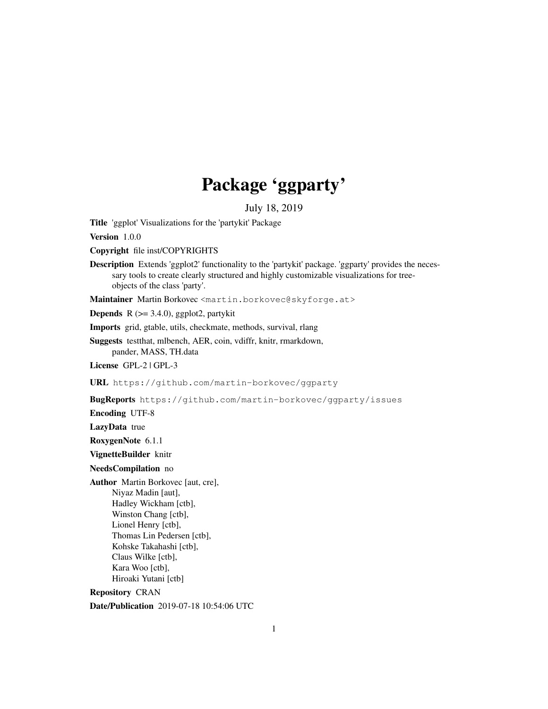# Package 'ggparty'

July 18, 2019

Title 'ggplot' Visualizations for the 'partykit' Package

Version 1.0.0

Copyright file inst/COPYRIGHTS

Description Extends 'ggplot2' functionality to the 'partykit' package. 'ggparty' provides the necessary tools to create clearly structured and highly customizable visualizations for treeobjects of the class 'party'.

Maintainer Martin Borkovec <martin.borkovec@skyforge.at>

**Depends** R  $(>= 3.4.0)$ , ggplot2, partykit

Imports grid, gtable, utils, checkmate, methods, survival, rlang

Suggests testthat, mlbench, AER, coin, vdiffr, knitr, rmarkdown, pander, MASS, TH.data

License GPL-2 | GPL-3

URL https://github.com/martin-borkovec/ggparty

BugReports https://github.com/martin-borkovec/ggparty/issues

Encoding UTF-8

LazyData true

RoxygenNote 6.1.1

VignetteBuilder knitr

NeedsCompilation no

Author Martin Borkovec [aut, cre], Niyaz Madin [aut], Hadley Wickham [ctb], Winston Chang [ctb], Lionel Henry [ctb], Thomas Lin Pedersen [ctb], Kohske Takahashi [ctb], Claus Wilke [ctb], Kara Woo [ctb], Hiroaki Yutani [ctb]

Repository CRAN

Date/Publication 2019-07-18 10:54:06 UTC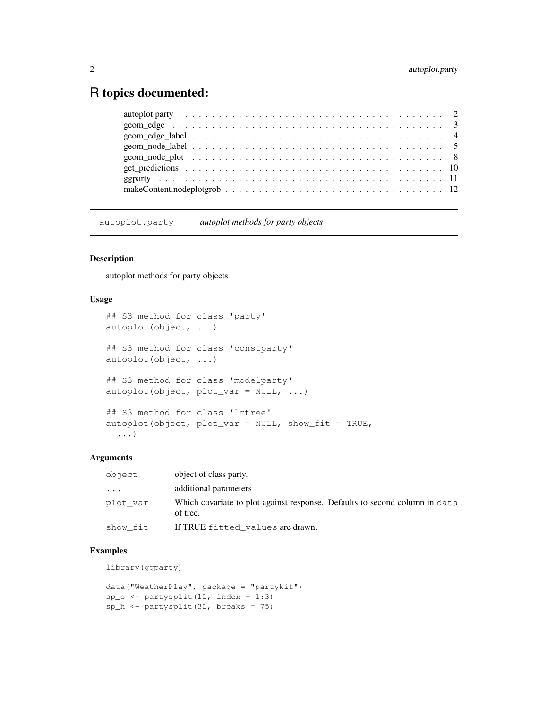# R topics documented:

autoplot.party *autoplot methods for party objects*

# Description

autoplot methods for party objects

# Usage

```
## S3 method for class 'party'
autoplot(object, ...)
## S3 method for class 'constparty'
autoplot(object, ...)
## S3 method for class 'modelparty'
autoplot(object, plot_var = NULL, ...)
## S3 method for class 'lmtree'
autoplot(object, plot\_var = NULL, show\_fit = TRUE,...)
```
# Arguments

| object   | object of class party.                                                                  |
|----------|-----------------------------------------------------------------------------------------|
| $\cdot$  | additional parameters                                                                   |
| plot var | Which covariate to plot against response. Defaults to second column in data<br>of tree. |
| show fit | If TRUE fitted_values are drawn.                                                        |

# Examples

library(ggparty)

```
data("WeatherPlay", package = "partykit")
sp_0 \leftarrow partysplit(1L, index = 1:3)
sp_h \leftarrow partysplit(3L, breaks = 75)
```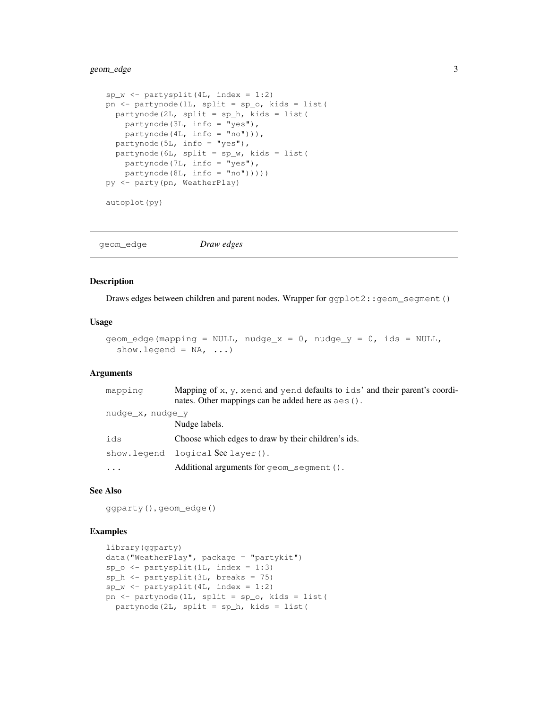# geom\_edge 3

```
sp_w \leftarrow partysplit(4L, index = 1:2)
pn <- partynode(1L, split = sp_o, kids = list(
 partynode(2L, split = sp_h, kids = list(
   partynode(3L, info = "yes"),
   partynode(4L, info = "no"))),
  partynode(5L, info = "yes"),
  partynode(6L, split = sp_w, kids = list(
    partynode(7L, info = "yes"),
   partynode(8L, info = "no"))))py <- party(pn, WeatherPlay)
autoplot(py)
```
geom\_edge *Draw edges*

#### Description

Draws edges between children and parent nodes. Wrapper for ggplot2::geom\_segment()

#### Usage

```
geom_edge(mapping = NULL, nudge_x = 0, nudge_y = 0, ids = NULL,
  show.legend = NA, ...)
```
# Arguments

| mapping          | Mapping of $x, y$ , xend and yend defaults to ids' and their parent's coordi-<br>nates. Other mappings can be added here as $a \in S($ ). |
|------------------|-------------------------------------------------------------------------------------------------------------------------------------------|
| nudge x, nudge y |                                                                                                                                           |
|                  | Nudge labels.                                                                                                                             |
| ids              | Choose which edges to draw by their children's ids.                                                                                       |
|                  | show.legend logical See layer().                                                                                                          |
|                  | Additional arguments for geom_segment ().                                                                                                 |

# See Also

ggparty(), geom\_edge()

# Examples

```
library(ggparty)
data("WeatherPlay", package = "partykit")
sp_0 \leftarrow partysplit(1L, index = 1:3)
sp_h <- partysplit(3L, breaks = 75)
sp_w \leftarrow partysplit(4L, index = 1:2)
pn <- partynode(1L, split = sp_o, kids = list(
 partynode(2L, split = sp_h, kids = list(
```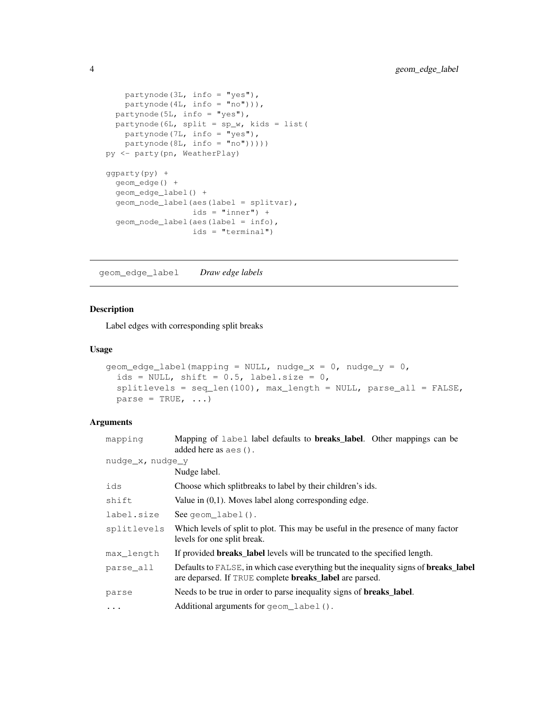```
partynode(3L, info = "yes"),
   partynode(4L, info = "no"))),
  partynode(5L, info = "yes"),
 partynode(6L, split = sp_w, kids = list(
   partynode(7L, info = "yes"),
   partynode(8L, info = "no"))))py <- party(pn, WeatherPlay)
ggparty(py) +
 geom_edge() +
  geom_edge_label() +
  geom_node_label(aes(label = splitvar),
                 ids = "inner") +geom_node_label(aes(label = info),
                  ids = "terminal")
```
geom\_edge\_label *Draw edge labels*

# Description

Label edges with corresponding split breaks

# Usage

```
geom_edge_label(mapping = NULL, nudge_x = 0, nudge_y = 0,
  ids = NULL, shift = 0.5, label.size = 0,
  splitlevels = seq_len(100), max_length = NULL, parse_all = FALSE,
 parse = TRUE, ...
```
### Arguments

| mapping               | Mapping of label label defaults to <b>breaks_label</b> . Other mappings can be<br>added here as aes ().                                                       |
|-----------------------|---------------------------------------------------------------------------------------------------------------------------------------------------------------|
| $nudge_x$ , $nudge_y$ |                                                                                                                                                               |
|                       | Nudge label.                                                                                                                                                  |
| ids                   | Choose which splitbreaks to label by their children's ids.                                                                                                    |
| shift                 | Value in $(0,1)$ . Moves label along corresponding edge.                                                                                                      |
| label.size            | See geom $label()$ .                                                                                                                                          |
| splitlevels           | Which levels of split to plot. This may be useful in the presence of many factor<br>levels for one split break.                                               |
| max length            | If provided <b>breaks_label</b> levels will be truncated to the specified length.                                                                             |
| parse all             | Defaults to FALSE, in which case everything but the inequality signs of <b>breaks_label</b><br>are deparsed. If TRUE complete <b>breaks_label</b> are parsed. |
| parse                 | Needs to be true in order to parse inequality signs of <b>breaks_label</b> .                                                                                  |
| $\cdots$              | Additional arguments for geom_label().                                                                                                                        |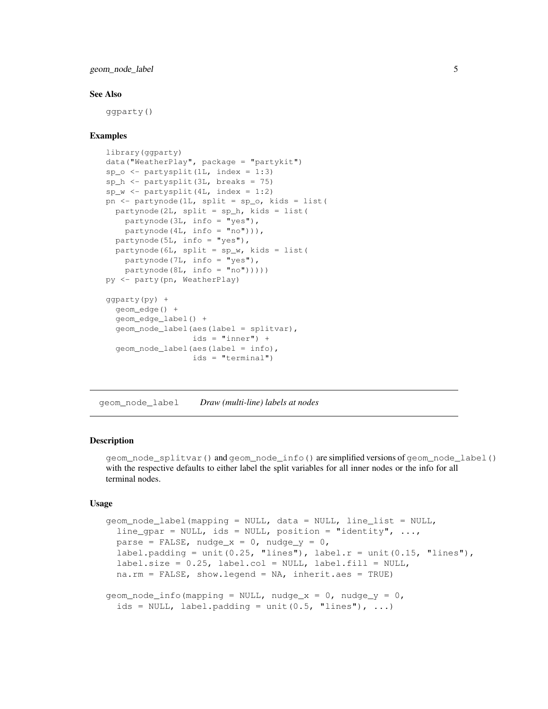geom\_node\_label 5

#### See Also

ggparty()

# Examples

```
library(ggparty)
data("WeatherPlay", package = "partykit")
sp_o <- partysplit(1L, index = 1:3)
sp_h <- partysplit(3L, breaks = 75)
sp_w <- partysplit(4L, index = 1:2)
pn <- partynode(1L, split = sp_o, kids = list(
  partynode(2L, split = sp_h, kids = list(
    partynode(3L, info = "yes"),
    partynode(4L, info = "no"))),
  partynode(5L, info = "yes"),
  partynode(6L, split = sp_w, kids = list(
   partynode(7L, info = "yes"),
   partynode(8L, info = "no")))))
py <- party(pn, WeatherPlay)
ggparty(py) +
  geom_edge() +
  geom_edge_label() +
 geom_node_label(aes(label = splitvar),
                 ids = "inner") +geom_node_label(aes(label = info),
                  ids = "terminal")
```
geom\_node\_label *Draw (multi-line) labels at nodes*

# Description

geom\_node\_splitvar() and geom\_node\_info() are simplified versions of geom\_node\_label() with the respective defaults to either label the split variables for all inner nodes or the info for all terminal nodes.

# Usage

```
geom_node_label(mapping = NULL, data = NULL, line_list = NULL,
  line_gpar = NULL, ids = NULL, position = "identity", ...,
 parse = FALSE, nudge_x = 0, nudge_y = 0,
  label.padding = unit(0.25, "lines"), label.r = unit(0.15, "lines"),
  label.size = 0.25, label.col = NULL, label.fill = NULL,
  na.rm = FALSE, show.legend = NA, inherit.aes = TRUE)
geom\_node\_info (mapping = NULL, nudge_x = 0, nudge_y = 0,
  ids = NULL, label.padding = unit (0.5, "lines"), ...
```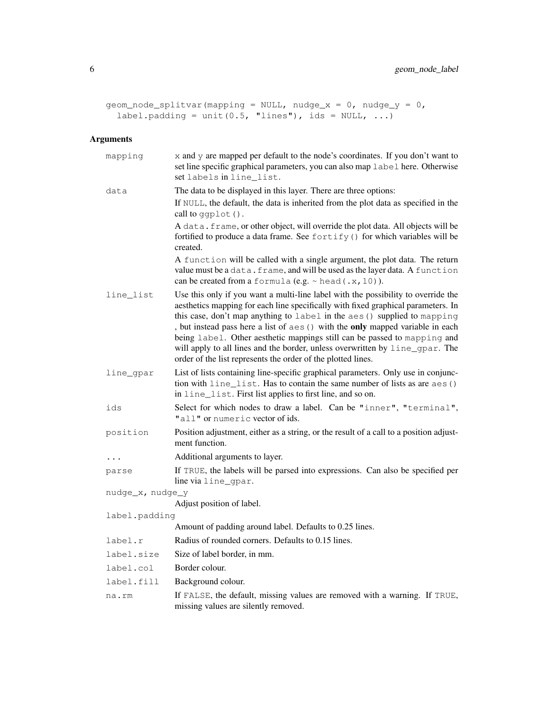```
geom_node_splitvar(mapping = NULL, nudge_x = 0, nudge_y = 0,
  label.padding = unit(0.5, "lines"), ids = NULL, ...)
```
# Arguments

| mapping               | x and y are mapped per default to the node's coordinates. If you don't want to<br>set line specific graphical parameters, you can also map label here. Otherwise<br>set labels in line_list.                                                                                                                                                                                                                                                                                                                                                                     |
|-----------------------|------------------------------------------------------------------------------------------------------------------------------------------------------------------------------------------------------------------------------------------------------------------------------------------------------------------------------------------------------------------------------------------------------------------------------------------------------------------------------------------------------------------------------------------------------------------|
| data                  | The data to be displayed in this layer. There are three options:                                                                                                                                                                                                                                                                                                                                                                                                                                                                                                 |
|                       | If NULL, the default, the data is inherited from the plot data as specified in the<br>call to ggplot ().                                                                                                                                                                                                                                                                                                                                                                                                                                                         |
|                       | A data. frame, or other object, will override the plot data. All objects will be<br>fortified to produce a data frame. See fortify () for which variables will be<br>created.                                                                                                                                                                                                                                                                                                                                                                                    |
|                       | A function will be called with a single argument, the plot data. The return<br>value must be a data. frame, and will be used as the layer data. A function<br>can be created from a formula (e.g. $\sim$ head (.x, 10)).                                                                                                                                                                                                                                                                                                                                         |
| line_list             | Use this only if you want a multi-line label with the possibility to override the<br>aesthetics mapping for each line specifically with fixed graphical parameters. In<br>this case, don't map anything to label in the aes () supplied to mapping<br>, but instead pass here a list of aes () with the only mapped variable in each<br>being label. Other aesthetic mappings still can be passed to mapping and<br>will apply to all lines and the border, unless overwritten by line_gpar. The<br>order of the list represents the order of the plotted lines. |
| line_gpar             | List of lists containing line-specific graphical parameters. Only use in conjunc-<br>tion with line_list. Has to contain the same number of lists as are aes ()<br>in line_list. First list applies to first line, and so on.                                                                                                                                                                                                                                                                                                                                    |
| ids                   | Select for which nodes to draw a label. Can be "inner", "terminal",<br>"all" or numeric vector of ids.                                                                                                                                                                                                                                                                                                                                                                                                                                                           |
| position              | Position adjustment, either as a string, or the result of a call to a position adjust-<br>ment function.                                                                                                                                                                                                                                                                                                                                                                                                                                                         |
|                       | Additional arguments to layer.                                                                                                                                                                                                                                                                                                                                                                                                                                                                                                                                   |
| parse                 | If TRUE, the labels will be parsed into expressions. Can also be specified per<br>line via line_gpar.                                                                                                                                                                                                                                                                                                                                                                                                                                                            |
| $nudge_x$ , $nudge_y$ |                                                                                                                                                                                                                                                                                                                                                                                                                                                                                                                                                                  |
|                       | Adjust position of label.                                                                                                                                                                                                                                                                                                                                                                                                                                                                                                                                        |
| label.padding         |                                                                                                                                                                                                                                                                                                                                                                                                                                                                                                                                                                  |
|                       | Amount of padding around label. Defaults to 0.25 lines.                                                                                                                                                                                                                                                                                                                                                                                                                                                                                                          |
| label.r               | Radius of rounded corners. Defaults to 0.15 lines.                                                                                                                                                                                                                                                                                                                                                                                                                                                                                                               |
| label.size            | Size of label border, in mm.                                                                                                                                                                                                                                                                                                                                                                                                                                                                                                                                     |
| label.col             | Border colour.                                                                                                                                                                                                                                                                                                                                                                                                                                                                                                                                                   |
| label.fill            | Background colour.                                                                                                                                                                                                                                                                                                                                                                                                                                                                                                                                               |
| na.rm                 | If FALSE, the default, missing values are removed with a warning. If TRUE,<br>missing values are silently removed.                                                                                                                                                                                                                                                                                                                                                                                                                                               |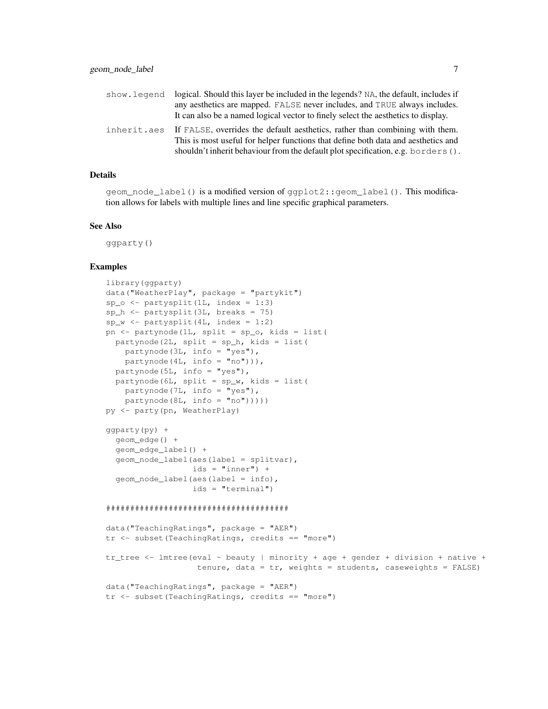| show.legend | logical. Should this layer be included in the legends? NA, the default, includes if      |
|-------------|------------------------------------------------------------------------------------------|
|             | any aesthetics are mapped. FALSE never includes, and TRUE always includes.               |
|             | It can also be a named logical vector to finely select the aesthetics to display.        |
|             | inherit.aes If FALSE, overrides the default aesthetics, rather than combining with them. |
|             | This is most useful for helper functions that define both data and aesthetics and        |
|             | shouldn't inherit behaviour from the default plot specification, e.g. borders $()$ .     |

#### Details

geom\_node\_label() is a modified version of ggplot2::geom\_label(). This modification allows for labels with multiple lines and line specific graphical parameters.

#### See Also

ggparty()

#### Examples

```
library(ggparty)
data("WeatherPlay", package = "partykit")
sp_0 \leftarrow partysplit(1L, index = 1:3)
sp_h <- partysplit(3L, breaks = 75)
sp_w <- partysplit(4L, index = 1:2)
pn <- partynode(1L, split = sp_o, kids = list(
 partynode(2L, split = sp_h, kids = list(
   partynode(3L, info = "yes"),
   partynode(4L, info = "no"))),
 partynode(5L, info = "yes"),partynode(6L, split = sp_w, kids = list(
    partynode(7L, info = "yes"),partynode(8L, info = "no"))))py <- party(pn, WeatherPlay)
ggparty(py) +
  geom_edge() +
  geom_edge_label() +
  geom_node_label(aes(label = splitvar),
                  ids = "inner") +geom_node_label(aes(label = info),
                  ids = "terminal")
######################################
data("TeachingRatings", package = "AER")
tr <- subset(TeachingRatings, credits == "more")
tr_tree <- lmtree(eval ~ beauty | minority + age + gender + division + native +
                  tenure, data = tr, weights = students, caseweights = FALSE)
data("TeachingRatings", package = "AER")
```
tr <- subset(TeachingRatings, credits == "more")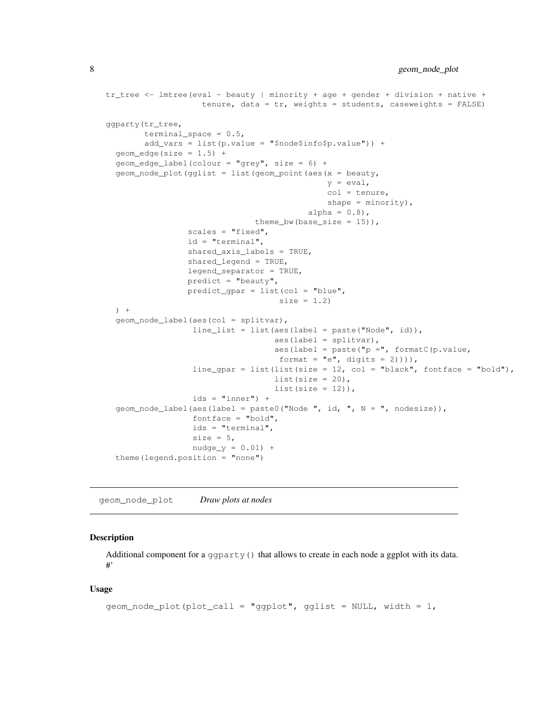```
tr_tree <- lmtree(eval \sim beauty | minority + age + gender + division + native +
                    tenure, data = tr, weights = students, caseweights = FALSE)
ggparty(tr_tree,
        terminal_space = 0.5,
        add_vars = list(p.value = "$node$info$p.value")) +
  geom\_edge(size = 1.5) +
  geom_edge_label(colour = "grey", size = 6) +
  geom\_node\_plot(qglist = list(qeom\_point(aes(x = beauty,y = eval,col = tenure,
                                              shape = minority,
                                          alpha = 0.8),
                               theme_bw(base_size = 15)),
                 scales = "fixed",
                 id = "terminal",
                 shared_axis_labels = TRUE,
                 shared_legend = TRUE,
                 legend_separator = TRUE,
                 predict = "beaufy",predict_gpar = list(col = "blue",
                                    size = 1.2) +geom_node_label(aes(col = splitvar),
                  line_list = list(aes(label = paste("Node", id)),
                                   aes(label = splitvar),
                                   aes(label = paste("p =", formatC(p.value,
                                    format = "e", digits = 2)))),
                  line\_gpar = list(list(size = 12, col = "black", fontface = "bold"),
                                   list(size = 20),
                                   list(size = 12)),
                  ids = "inner") +geom_node_label(aes(label = paste0("Node ", id, ", N = ", nodesize)),
                  fontface = "bold",
                  ids = "terminal",
                  size = 5,
                  nudge_y = 0.01 +
  theme(legend.position = "none")
```
geom\_node\_plot *Draw plots at nodes*

# Description

Additional component for a ggparty() that allows to create in each node a ggplot with its data. #'

# Usage

```
geom\_node\_plot(plot\_call = "ggplot", qglist = NULL, width = 1,
```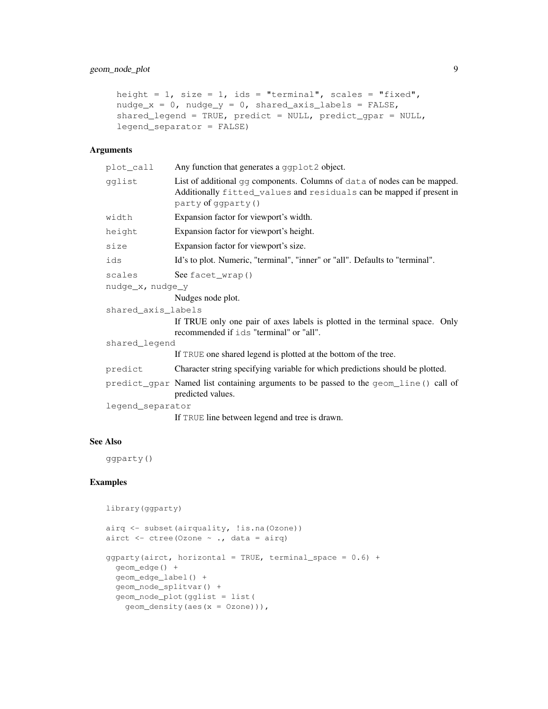# geom\_node\_plot 9

```
height = 1, size = 1, ids = "terminal", scales = "fixed",
nudge_x = 0, nudge_y = 0, shared\_axis\_labels = FALSE,
shared_legend = TRUE, predict = NULL, predict_gpar = NULL,
legend_separator = FALSE)
```
# Arguments

| plot_call          | Any function that generates a ggplot2 object.                                                                                                                                    |
|--------------------|----------------------------------------------------------------------------------------------------------------------------------------------------------------------------------|
| gglist             | List of additional $q\bar{q}$ components. Columns of data of nodes can be mapped.<br>Additionally fitted_values and residuals can be mapped if present in<br>party of ggparty () |
| width              | Expansion factor for viewport's width.                                                                                                                                           |
| height             | Expansion factor for viewport's height.                                                                                                                                          |
| size               | Expansion factor for viewport's size.                                                                                                                                            |
| ids                | Id's to plot. Numeric, "terminal", "inner" or "all". Defaults to "terminal".                                                                                                     |
| scales             | See facet_wrap()                                                                                                                                                                 |
| nudge_x, nudge_y   |                                                                                                                                                                                  |
|                    | Nudges node plot.                                                                                                                                                                |
| shared_axis_labels |                                                                                                                                                                                  |
|                    | If TRUE only one pair of axes labels is plotted in the terminal space. Only<br>recommended if ids "terminal" or "all".                                                           |
| shared_legend      |                                                                                                                                                                                  |
|                    | If TRUE one shared legend is plotted at the bottom of the tree.                                                                                                                  |
| predict            | Character string specifying variable for which predictions should be plotted.                                                                                                    |
|                    | predict_gpar Named list containing arguments to be passed to the geom_line () call of<br>predicted values.                                                                       |
| legend_separator   |                                                                                                                                                                                  |
|                    | If TRUE line between legend and tree is drawn.                                                                                                                                   |

# See Also

ggparty()

# Examples

```
library(ggparty)
airq <- subset(airquality, !is.na(Ozone))
airct \leq ctree(Ozone \sim ., data = airq)
ggparty(airct, horizontal = TRUE, terminal\_space = 0.6) +geom_edge() +
  geom_edge_label() +
  geom_node_splitvar() +
  geom_node_plot(gglist = list(
   geom_density(aes(x = Ozone))),
```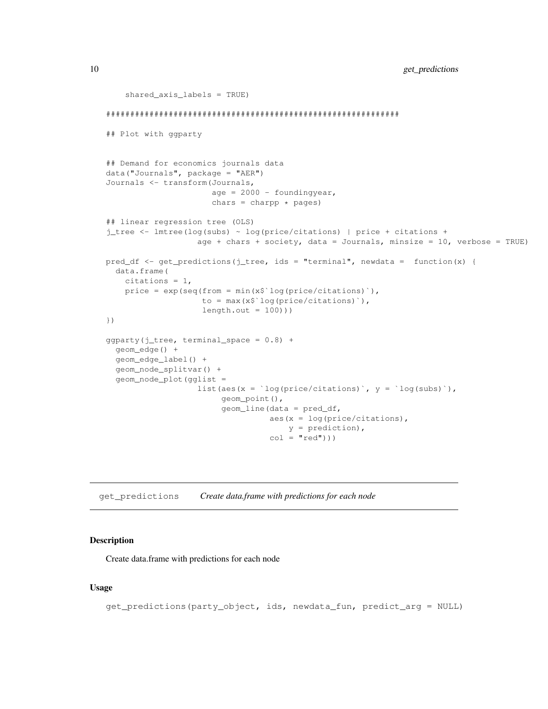```
shared_axis_labels = TRUE)
#############################################################
## Plot with ggparty
## Demand for economics journals data
data("Journals", package = "AER")
Journals <- transform(Journals,
                       age = 2000 - \text{foundingyear},
                      chars = charpp * pages)
## linear regression tree (OLS)
j_tree <- lmtree(log(subs) ~ log(price/citations) | price + citations +
                    age + chars + society, data = Journals, minsize = 10, verbose = TRUE)
pred_df <- get_predictions(j_tree, ids = "terminal", newdata = function(x) {
  data.frame(
    citations = 1,
    price = exp(seq(from = min(x$`log(price/citations)`),
                    to = max(x$`log(price/citations)`),
                    length.out = 100))})
ggparty(j_tree, terminal_space = 0.8) +
  geom_edge() +
  geom_edge_label() +
  geom_node_splitvar() +
  geom_node_plot(gglist =
                    list(aes(x = \log(\text{price}/\text{citations}), y = \log(\text{subs})),
                         geom_point(),
                         geom_line(data = pred_df,
                                   aes(x = log(price/citations),
                                       y = prediction),
                                   col = "red")))
```
get\_predictions *Create data.frame with predictions for each node*

# Description

Create data.frame with predictions for each node

#### Usage

```
get_predictions(party_object, ids, newdata_fun, predict_arg = NULL)
```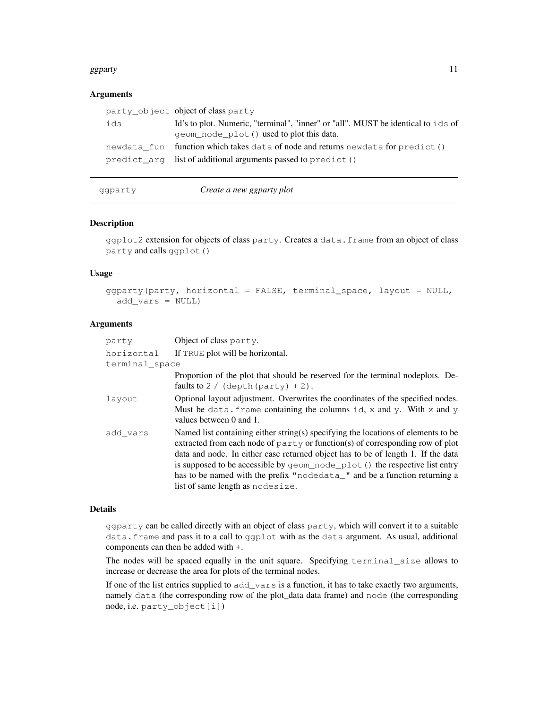#### ggparty and the set of the set of the set of the set of the set of the set of the set of the set of the set of the set of the set of the set of the set of the set of the set of the set of the set of the set of the set of t

# **Arguments**

|     | party_object object of class party                                               |
|-----|----------------------------------------------------------------------------------|
| ids | Id's to plot. Numeric, "terminal", "inner" or "all". MUST be identical to ids of |
|     | geom node plot () used to plot this data.                                        |
|     | newdata_fun function which takes data of node and returns newdata for predict()  |
|     | predict_arg list of additional arguments passed to predict ()                    |
|     |                                                                                  |

ggparty *Create a new ggparty plot*

# Description

ggplot2 extension for objects of class party. Creates a data.frame from an object of class party and calls ggplot()

#### Usage

ggparty(party, horizontal = FALSE, terminal\_space, layout = NULL, add\_vars = NULL)

# Arguments

| party          | Object of class party.                                                                                                                                                                                                                                                                                                                                                                                                                                |
|----------------|-------------------------------------------------------------------------------------------------------------------------------------------------------------------------------------------------------------------------------------------------------------------------------------------------------------------------------------------------------------------------------------------------------------------------------------------------------|
| horizontal     | If TRUE plot will be horizontal.                                                                                                                                                                                                                                                                                                                                                                                                                      |
| terminal space |                                                                                                                                                                                                                                                                                                                                                                                                                                                       |
|                | Proportion of the plot that should be reserved for the terminal nodeplots. De-<br>faults to $2/$ (depth (party) + 2).                                                                                                                                                                                                                                                                                                                                 |
| layout         | Optional layout adjustment. Overwrites the coordinates of the specified nodes.<br>Must be data. frame containing the columns id, x and y. With x and y<br>values between 0 and 1.                                                                                                                                                                                                                                                                     |
| add vars       | Named list containing either string(s) specifying the locations of elements to be<br>extracted from each node of party or function(s) of corresponding row of plot<br>data and node. In either case returned object has to be of length 1. If the data<br>is supposed to be accessible by geom_node_plot() the respective list entry<br>has to be named with the prefix "nodedata_" and be a function returning a<br>list of same length as nodesize. |

# Details

ggparty can be called directly with an object of class party, which will convert it to a suitable data.frame and pass it to a call to ggplot with as the data argument. As usual, additional components can then be added with +.

The nodes will be spaced equally in the unit square. Specifying terminal\_size allows to increase or decrease the area for plots of the terminal nodes.

If one of the list entries supplied to add\_vars is a function, it has to take exactly two arguments, namely data (the corresponding row of the plot\_data data frame) and node (the corresponding node, i.e. party\_object[i])